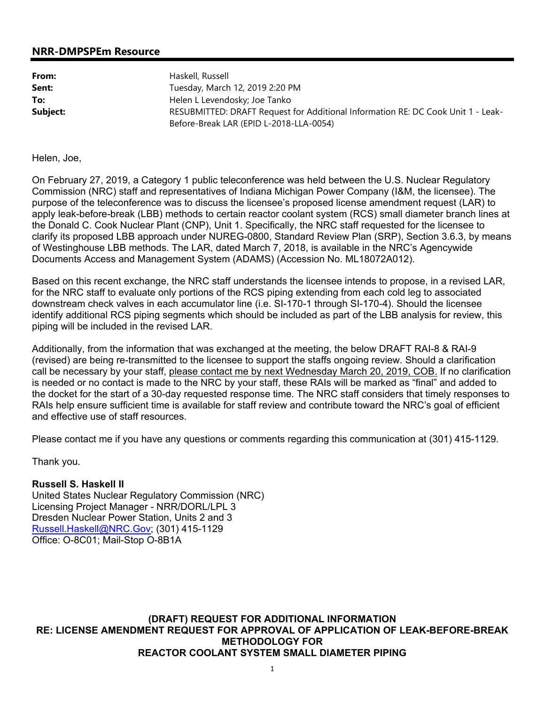## **NRR-DMPSPEm Resource**

| From:    | Haskell, Russell                                                                                                            |
|----------|-----------------------------------------------------------------------------------------------------------------------------|
| Sent:    | Tuesday, March 12, 2019 2:20 PM                                                                                             |
| To:      | Helen L Levendosky; Joe Tanko                                                                                               |
| Subject: | RESUBMITTED: DRAFT Request for Additional Information RE: DC Cook Unit 1 - Leak-<br>Before-Break LAR (EPID L-2018-LLA-0054) |

Helen, Joe,

On February 27, 2019, a Category 1 public teleconference was held between the U.S. Nuclear Regulatory Commission (NRC) staff and representatives of Indiana Michigan Power Company (I&M, the licensee). The purpose of the teleconference was to discuss the licensee's proposed license amendment request (LAR) to apply leak-before-break (LBB) methods to certain reactor coolant system (RCS) small diameter branch lines at the Donald C. Cook Nuclear Plant (CNP), Unit 1. Specifically, the NRC staff requested for the licensee to clarify its proposed LBB approach under NUREG-0800, Standard Review Plan (SRP), Section 3.6.3, by means of Westinghouse LBB methods. The LAR, dated March 7, 2018, is available in the NRC's Agencywide Documents Access and Management System (ADAMS) (Accession No. ML18072A012).

Based on this recent exchange, the NRC staff understands the licensee intends to propose, in a revised LAR, for the NRC staff to evaluate only portions of the RCS piping extending from each cold leg to associated downstream check valves in each accumulator line (i.e. SI-170-1 through SI-170-4). Should the licensee identify additional RCS piping segments which should be included as part of the LBB analysis for review, this piping will be included in the revised LAR.

Additionally, from the information that was exchanged at the meeting, the below DRAFT RAI-8 & RAI-9 (revised) are being re-transmitted to the licensee to support the staffs ongoing review. Should a clarification call be necessary by your staff, please contact me by next Wednesday March 20, 2019, COB. If no clarification is needed or no contact is made to the NRC by your staff, these RAIs will be marked as "final" and added to the docket for the start of a 30-day requested response time. The NRC staff considers that timely responses to RAIs help ensure sufficient time is available for staff review and contribute toward the NRC's goal of efficient and effective use of staff resources.

Please contact me if you have any questions or comments regarding this communication at (301) 415-1129.

Thank you.

# **Russell S. Haskell II**

United States Nuclear Regulatory Commission (NRC) Licensing Project Manager - NRR/DORL/LPL 3 Dresden Nuclear Power Station, Units 2 and 3 Russell.Haskell@NRC.Gov; (301) 415-1129 Office: O-8C01; Mail-Stop O-8B1A

**(DRAFT) REQUEST FOR ADDITIONAL INFORMATION RE: LICENSE AMENDMENT REQUEST FOR APPROVAL OF APPLICATION OF LEAK-BEFORE-BREAK METHODOLOGY FOR REACTOR COOLANT SYSTEM SMALL DIAMETER PIPING**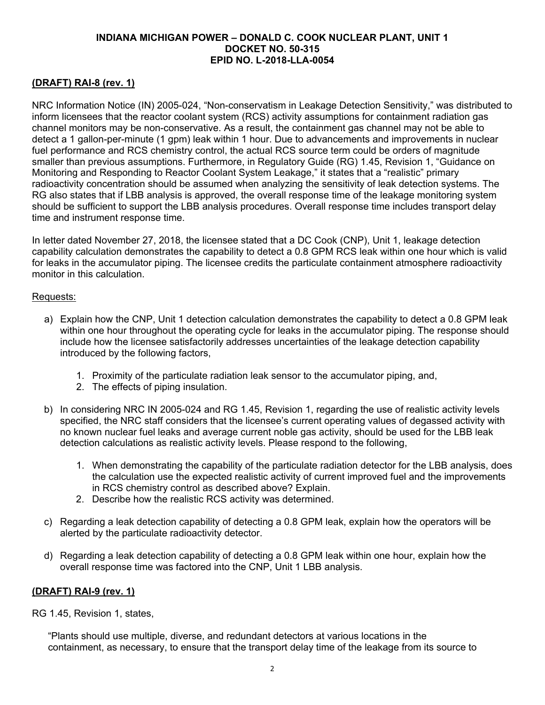## **INDIANA MICHIGAN POWER – DONALD C. COOK NUCLEAR PLANT, UNIT 1 DOCKET NO. 50-315 EPID NO. L-2018-LLA-0054**

# **(DRAFT) RAI-8 (rev. 1)**

NRC Information Notice (IN) 2005-024, "Non-conservatism in Leakage Detection Sensitivity," was distributed to inform licensees that the reactor coolant system (RCS) activity assumptions for containment radiation gas channel monitors may be non-conservative. As a result, the containment gas channel may not be able to detect a 1 gallon-per-minute (1 gpm) leak within 1 hour. Due to advancements and improvements in nuclear fuel performance and RCS chemistry control, the actual RCS source term could be orders of magnitude smaller than previous assumptions. Furthermore, in Regulatory Guide (RG) 1.45, Revision 1, "Guidance on Monitoring and Responding to Reactor Coolant System Leakage," it states that a "realistic" primary radioactivity concentration should be assumed when analyzing the sensitivity of leak detection systems. The RG also states that if LBB analysis is approved, the overall response time of the leakage monitoring system should be sufficient to support the LBB analysis procedures. Overall response time includes transport delay time and instrument response time.

In letter dated November 27, 2018, the licensee stated that a DC Cook (CNP), Unit 1, leakage detection capability calculation demonstrates the capability to detect a 0.8 GPM RCS leak within one hour which is valid for leaks in the accumulator piping. The licensee credits the particulate containment atmosphere radioactivity monitor in this calculation.

## Requests:

- a) Explain how the CNP, Unit 1 detection calculation demonstrates the capability to detect a 0.8 GPM leak within one hour throughout the operating cycle for leaks in the accumulator piping. The response should include how the licensee satisfactorily addresses uncertainties of the leakage detection capability introduced by the following factors,
	- 1. Proximity of the particulate radiation leak sensor to the accumulator piping, and,
	- 2. The effects of piping insulation.
- b) In considering NRC IN 2005-024 and RG 1.45, Revision 1, regarding the use of realistic activity levels specified, the NRC staff considers that the licensee's current operating values of degassed activity with no known nuclear fuel leaks and average current noble gas activity, should be used for the LBB leak detection calculations as realistic activity levels. Please respond to the following,
	- 1. When demonstrating the capability of the particulate radiation detector for the LBB analysis, does the calculation use the expected realistic activity of current improved fuel and the improvements in RCS chemistry control as described above? Explain.
	- 2. Describe how the realistic RCS activity was determined.
- c) Regarding a leak detection capability of detecting a 0.8 GPM leak, explain how the operators will be alerted by the particulate radioactivity detector.
- d) Regarding a leak detection capability of detecting a 0.8 GPM leak within one hour, explain how the overall response time was factored into the CNP, Unit 1 LBB analysis.

# **(DRAFT) RAI-9 (rev. 1)**

RG 1.45, Revision 1, states,

"Plants should use multiple, diverse, and redundant detectors at various locations in the containment, as necessary, to ensure that the transport delay time of the leakage from its source to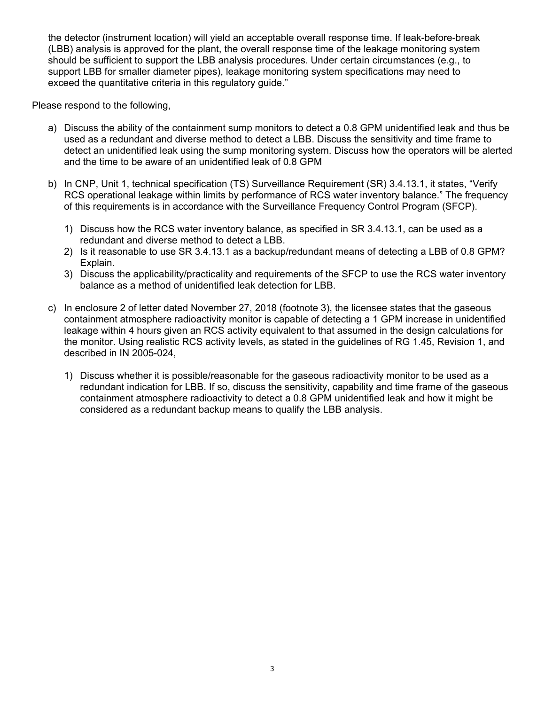the detector (instrument location) will yield an acceptable overall response time. If leak-before-break (LBB) analysis is approved for the plant, the overall response time of the leakage monitoring system should be sufficient to support the LBB analysis procedures. Under certain circumstances (e.g., to support LBB for smaller diameter pipes), leakage monitoring system specifications may need to exceed the quantitative criteria in this regulatory guide."

Please respond to the following,

- a) Discuss the ability of the containment sump monitors to detect a 0.8 GPM unidentified leak and thus be used as a redundant and diverse method to detect a LBB. Discuss the sensitivity and time frame to detect an unidentified leak using the sump monitoring system. Discuss how the operators will be alerted and the time to be aware of an unidentified leak of 0.8 GPM
- b) In CNP, Unit 1, technical specification (TS) Surveillance Requirement (SR) 3.4.13.1, it states, "Verify RCS operational leakage within limits by performance of RCS water inventory balance." The frequency of this requirements is in accordance with the Surveillance Frequency Control Program (SFCP).
	- 1) Discuss how the RCS water inventory balance, as specified in SR 3.4.13.1, can be used as a redundant and diverse method to detect a LBB.
	- 2) Is it reasonable to use SR 3.4.13.1 as a backup/redundant means of detecting a LBB of 0.8 GPM? Explain.
	- 3) Discuss the applicability/practicality and requirements of the SFCP to use the RCS water inventory balance as a method of unidentified leak detection for LBB.
- c) In enclosure 2 of letter dated November 27, 2018 (footnote 3), the licensee states that the gaseous containment atmosphere radioactivity monitor is capable of detecting a 1 GPM increase in unidentified leakage within 4 hours given an RCS activity equivalent to that assumed in the design calculations for the monitor. Using realistic RCS activity levels, as stated in the guidelines of RG 1.45, Revision 1, and described in IN 2005-024,
	- 1) Discuss whether it is possible/reasonable for the gaseous radioactivity monitor to be used as a redundant indication for LBB. If so, discuss the sensitivity, capability and time frame of the gaseous containment atmosphere radioactivity to detect a 0.8 GPM unidentified leak and how it might be considered as a redundant backup means to qualify the LBB analysis.